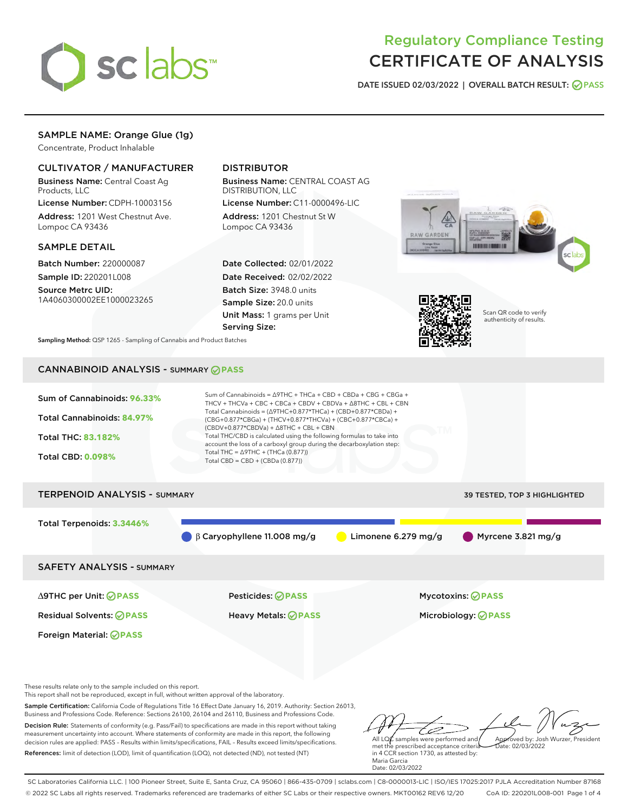

# Regulatory Compliance Testing CERTIFICATE OF ANALYSIS

DATE ISSUED 02/03/2022 | OVERALL BATCH RESULT: @ PASS

# SAMPLE NAME: Orange Glue (1g)

Concentrate, Product Inhalable

# CULTIVATOR / MANUFACTURER

Business Name: Central Coast Ag Products, LLC

License Number: CDPH-10003156 Address: 1201 West Chestnut Ave. Lompoc CA 93436

## SAMPLE DETAIL

Batch Number: 220000087 Sample ID: 220201L008

Source Metrc UID: 1A4060300002EE1000023265

# DISTRIBUTOR

Business Name: CENTRAL COAST AG DISTRIBUTION, LLC

License Number: C11-0000496-LIC Address: 1201 Chestnut St W Lompoc CA 93436

Date Collected: 02/01/2022 Date Received: 02/02/2022 Batch Size: 3948.0 units Sample Size: 20.0 units Unit Mass: 1 grams per Unit Serving Size:





Scan QR code to verify authenticity of results.

Sampling Method: QSP 1265 - Sampling of Cannabis and Product Batches

# CANNABINOID ANALYSIS - SUMMARY **PASS**



∆9THC per Unit: **PASS** Pesticides: **PASS** Mycotoxins: **PASS**

Foreign Material: **PASS**

Residual Solvents: **PASS** Heavy Metals: **PASS** Microbiology: **PASS**

These results relate only to the sample included on this report.

This report shall not be reproduced, except in full, without written approval of the laboratory.

Sample Certification: California Code of Regulations Title 16 Effect Date January 16, 2019. Authority: Section 26013, Business and Professions Code. Reference: Sections 26100, 26104 and 26110, Business and Professions Code.

Decision Rule: Statements of conformity (e.g. Pass/Fail) to specifications are made in this report without taking measurement uncertainty into account. Where statements of conformity are made in this report, the following decision rules are applied: PASS – Results within limits/specifications, FAIL – Results exceed limits/specifications. References: limit of detection (LOD), limit of quantification (LOQ), not detected (ND), not tested (NT)

ستنسخ All LQ $\ell$  samples were performed and Approved by: Josh Wurzer, President  $ate: 02/03/2022$ 

met the prescribed acceptance criteria in 4 CCR section 1730, as attested by: Maria Garcia Date: 02/03/2022

SC Laboratories California LLC. | 100 Pioneer Street, Suite E, Santa Cruz, CA 95060 | 866-435-0709 | sclabs.com | C8-0000013-LIC | ISO/IES 17025:2017 PJLA Accreditation Number 87168 © 2022 SC Labs all rights reserved. Trademarks referenced are trademarks of either SC Labs or their respective owners. MKT00162 REV6 12/20 CoA ID: 220201L008-001 Page 1 of 4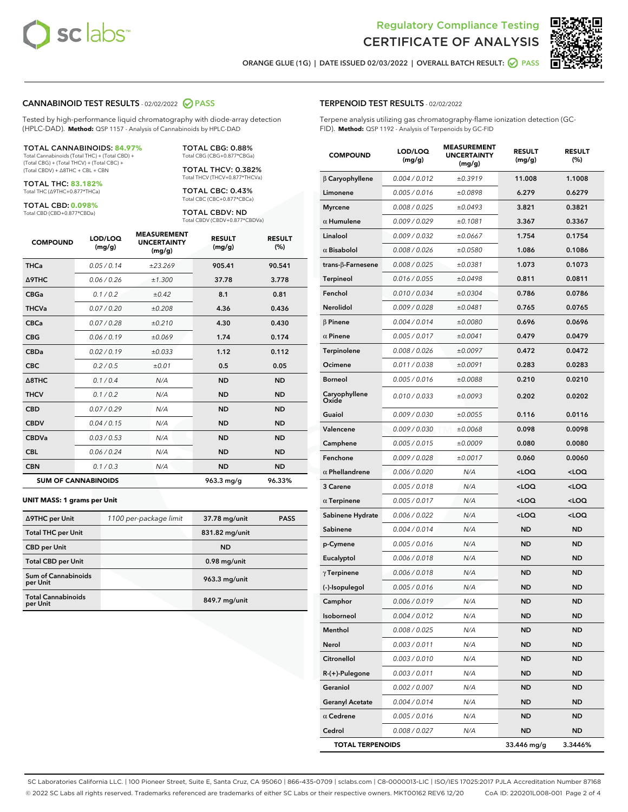



ORANGE GLUE (1G) | DATE ISSUED 02/03/2022 | OVERALL BATCH RESULT:  $\bigcirc$  PASS

### CANNABINOID TEST RESULTS - 02/02/2022 2 PASS

Tested by high-performance liquid chromatography with diode-array detection (HPLC-DAD). **Method:** QSP 1157 - Analysis of Cannabinoids by HPLC-DAD

#### TOTAL CANNABINOIDS: **84.97%**

Total Cannabinoids (Total THC) + (Total CBD) + (Total CBG) + (Total THCV) + (Total CBC) + (Total CBDV) + ∆8THC + CBL + CBN

TOTAL THC: **83.182%** Total THC (∆9THC+0.877\*THCa)

TOTAL CBD: **0.098%**

Total CBD (CBD+0.877\*CBDa)

TOTAL CBG: 0.88% Total CBG (CBG+0.877\*CBGa)

TOTAL THCV: 0.382% Total THCV (THCV+0.877\*THCVa)

TOTAL CBC: 0.43% Total CBC (CBC+0.877\*CBCa)

TOTAL CBDV: ND Total CBDV (CBDV+0.877\*CBDVa)

| <b>COMPOUND</b>            | LOD/LOQ<br>(mg/g) | <b>MEASUREMENT</b><br><b>UNCERTAINTY</b><br>(mg/g) | <b>RESULT</b><br>(mg/g) | <b>RESULT</b><br>(%) |
|----------------------------|-------------------|----------------------------------------------------|-------------------------|----------------------|
| <b>THCa</b>                | 0.05/0.14         | ±23.269                                            | 905.41                  | 90.541               |
| <b>A9THC</b>               | 0.06 / 0.26       | ±1.300                                             | 37.78                   | 3.778                |
| <b>CBGa</b>                | 0.1 / 0.2         | $\pm 0.42$                                         | 8.1                     | 0.81                 |
| <b>THCVa</b>               | 0.07/0.20         | ±0.208                                             | 4.36                    | 0.436                |
| <b>CBCa</b>                | 0.07 / 0.28       | ±0.210                                             | 4.30                    | 0.430                |
| <b>CBG</b>                 | 0.06/0.19         | ±0.069                                             | 1.74                    | 0.174                |
| <b>CBDa</b>                | 0.02/0.19         | ±0.033                                             | 1.12                    | 0.112                |
| <b>CBC</b>                 | 0.2 / 0.5         | ±0.01                                              | 0.5                     | 0.05                 |
| $\triangle$ 8THC           | 0.1 / 0.4         | N/A                                                | <b>ND</b>               | <b>ND</b>            |
| <b>THCV</b>                | 0.1 / 0.2         | N/A                                                | <b>ND</b>               | <b>ND</b>            |
| <b>CBD</b>                 | 0.07/0.29         | N/A                                                | <b>ND</b>               | <b>ND</b>            |
| <b>CBDV</b>                | 0.04 / 0.15       | N/A                                                | <b>ND</b>               | <b>ND</b>            |
| <b>CBDVa</b>               | 0.03 / 0.53       | N/A                                                | <b>ND</b>               | <b>ND</b>            |
| <b>CBL</b>                 | 0.06 / 0.24       | N/A                                                | <b>ND</b>               | <b>ND</b>            |
| <b>CBN</b>                 | 0.1/0.3           | N/A                                                | <b>ND</b>               | <b>ND</b>            |
| <b>SUM OF CANNABINOIDS</b> |                   |                                                    | 963.3 mg/g              | 96.33%               |

#### **UNIT MASS: 1 grams per Unit**

| ∆9THC per Unit                         | 1100 per-package limit | 37.78 mg/unit  | <b>PASS</b> |
|----------------------------------------|------------------------|----------------|-------------|
| <b>Total THC per Unit</b>              |                        | 831.82 mg/unit |             |
| <b>CBD</b> per Unit                    |                        | <b>ND</b>      |             |
| <b>Total CBD per Unit</b>              |                        | $0.98$ mg/unit |             |
| <b>Sum of Cannabinoids</b><br>per Unit |                        | 963.3 mg/unit  |             |
| <b>Total Cannabinoids</b><br>per Unit  |                        | 849.7 mg/unit  |             |

# TERPENOID TEST RESULTS - 02/02/2022

Terpene analysis utilizing gas chromatography-flame ionization detection (GC-FID). **Method:** QSP 1192 - Analysis of Terpenoids by GC-FID

| <b>COMPOUND</b>           | LOD/LOQ<br>(mg/g) | <b>MEASUREMENT</b><br><b>UNCERTAINTY</b><br>(mg/g) | <b>RESULT</b><br>(mg/g)                          | <b>RESULT</b><br>(%) |
|---------------------------|-------------------|----------------------------------------------------|--------------------------------------------------|----------------------|
| $\beta$ Caryophyllene     | 0.004 / 0.012     | ±0.3919                                            | 11.008                                           | 1.1008               |
| Limonene                  | 0.005 / 0.016     | ±0.0898                                            | 6.279                                            | 0.6279               |
| <b>Myrcene</b>            | 0.008 / 0.025     | ±0.0493                                            | 3.821                                            | 0.3821               |
| $\alpha$ Humulene         | 0.009 / 0.029     | ±0.1081                                            | 3.367                                            | 0.3367               |
| Linalool                  | 0.009 / 0.032     | ±0.0667                                            | 1.754                                            | 0.1754               |
| $\alpha$ Bisabolol        | 0.008 / 0.026     | ±0.0580                                            | 1.086                                            | 0.1086               |
| trans- $\beta$ -Farnesene | 0.008 / 0.025     | ±0.0381                                            | 1.073                                            | 0.1073               |
| Terpineol                 | 0.016 / 0.055     | ±0.0498                                            | 0.811                                            | 0.0811               |
| Fenchol                   | 0.010 / 0.034     | ±0.0304                                            | 0.786                                            | 0.0786               |
| Nerolidol                 | 0.009 / 0.028     | ±0.0481                                            | 0.765                                            | 0.0765               |
| $\beta$ Pinene            | 0.004 / 0.014     | ±0.0080                                            | 0.696                                            | 0.0696               |
| $\alpha$ Pinene           | 0.005 / 0.017     | ±0.0041                                            | 0.479                                            | 0.0479               |
| Terpinolene               | 0.008 / 0.026     | ±0.0097                                            | 0.472                                            | 0.0472               |
| Ocimene                   | 0.011 / 0.038     | ±0.0091                                            | 0.283                                            | 0.0283               |
| <b>Borneol</b>            | 0.005 / 0.016     | ±0.0088                                            | 0.210                                            | 0.0210               |
| Caryophyllene<br>Oxide    | 0.010 / 0.033     | ±0.0093                                            | 0.202                                            | 0.0202               |
| Guaiol                    | 0.009 / 0.030     | ±0.0055                                            | 0.116                                            | 0.0116               |
| Valencene                 | 0.009 / 0.030     | ±0.0068                                            | 0.098                                            | 0.0098               |
| Camphene                  | 0.005 / 0.015     | ±0.0009                                            | 0.080                                            | 0.0080               |
| Fenchone                  | 0.009 / 0.028     | ±0.0017                                            | 0.060                                            | 0.0060               |
| $\alpha$ Phellandrene     | 0.006 / 0.020     | N/A                                                | <loq< th=""><th><loq< th=""></loq<></th></loq<>  | <loq< th=""></loq<>  |
| 3 Carene                  | 0.005 / 0.018     | N/A                                                | <loq< th=""><th><loq< th=""></loq<></th></loq<>  | <loq< th=""></loq<>  |
| $\alpha$ Terpinene        | 0.005 / 0.017     | N/A                                                | <loq< th=""><th><loq< th=""></loq<></th></loq<>  | <loq< th=""></loq<>  |
| Sabinene Hydrate          | 0.006 / 0.022     | N/A                                                | <loq< th=""><th><math>&lt;</math>LOQ</th></loq<> | $<$ LOQ              |
| Sabinene                  | 0.004 / 0.014     | N/A                                                | <b>ND</b>                                        | ND                   |
| p-Cymene                  | 0.005 / 0.016     | N/A                                                | <b>ND</b>                                        | ND                   |
| Eucalyptol                | 0.006 / 0.018     | N/A                                                | ND                                               | <b>ND</b>            |
| $\gamma$ Terpinene        | 0.006 / 0.018     | N/A                                                | <b>ND</b>                                        | <b>ND</b>            |
| (-)-Isopulegol            | 0.005 / 0.016     | N/A                                                | ND                                               | <b>ND</b>            |
| Camphor                   | 0.006 / 0.019     | N/A                                                | <b>ND</b>                                        | <b>ND</b>            |
| Isoborneol                | 0.004 / 0.012     | N/A                                                | ND                                               | ND                   |
| Menthol                   | 0.008 / 0.025     | N/A                                                | ND                                               | ND                   |
| Nerol                     | 0.003 / 0.011     | N/A                                                | <b>ND</b>                                        | ND                   |
| Citronellol               | 0.003 / 0.010     | N/A                                                | <b>ND</b>                                        | ND                   |
| R-(+)-Pulegone            | 0.003 / 0.011     | N/A                                                | ND                                               | ND                   |
| Geraniol                  | 0.002 / 0.007     | N/A                                                | ND                                               | ND                   |
| <b>Geranyl Acetate</b>    | 0.004 / 0.014     | N/A                                                | <b>ND</b>                                        | <b>ND</b>            |
| $\alpha$ Cedrene          | 0.005 / 0.016     | N/A                                                | ND                                               | ND                   |
| Cedrol                    | 0.008 / 0.027     | N/A                                                | <b>ND</b>                                        | ND                   |
| <b>TOTAL TERPENOIDS</b>   |                   |                                                    | 33.446 mg/g                                      | 3.3446%              |

SC Laboratories California LLC. | 100 Pioneer Street, Suite E, Santa Cruz, CA 95060 | 866-435-0709 | sclabs.com | C8-0000013-LIC | ISO/IES 17025:2017 PJLA Accreditation Number 87168 © 2022 SC Labs all rights reserved. Trademarks referenced are trademarks of either SC Labs or their respective owners. MKT00162 REV6 12/20 CoA ID: 220201L008-001 Page 2 of 4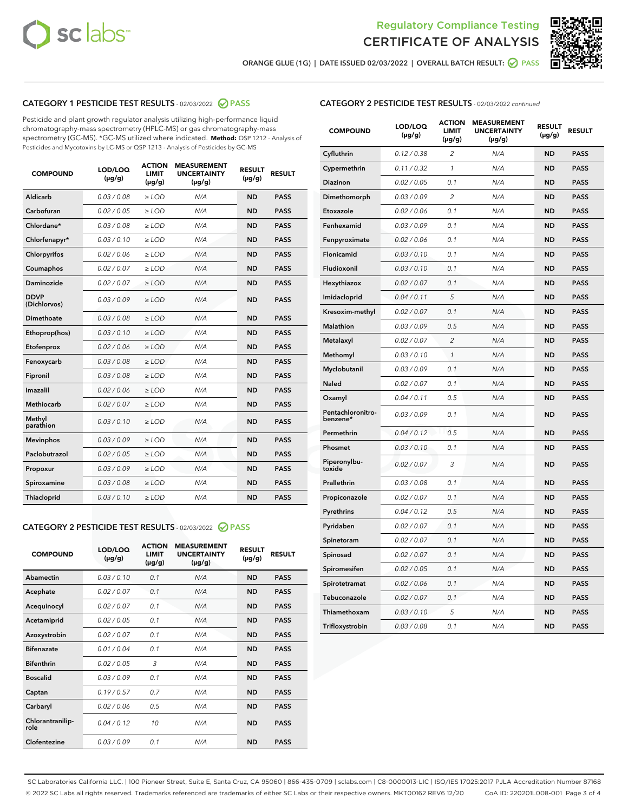



ORANGE GLUE (1G) | DATE ISSUED 02/03/2022 | OVERALL BATCH RESULT:  $\bigcirc$  PASS

# CATEGORY 1 PESTICIDE TEST RESULTS - 02/03/2022 2 PASS

Pesticide and plant growth regulator analysis utilizing high-performance liquid chromatography-mass spectrometry (HPLC-MS) or gas chromatography-mass spectrometry (GC-MS). \*GC-MS utilized where indicated. **Method:** QSP 1212 - Analysis of Pesticides and Mycotoxins by LC-MS or QSP 1213 - Analysis of Pesticides by GC-MS

| <b>COMPOUND</b>             | LOD/LOQ<br>$(\mu g/g)$ | <b>ACTION</b><br><b>LIMIT</b><br>$(\mu g/g)$ | <b>MEASUREMENT</b><br><b>UNCERTAINTY</b><br>$(\mu g/g)$ | <b>RESULT</b><br>$(\mu g/g)$ | <b>RESULT</b> |
|-----------------------------|------------------------|----------------------------------------------|---------------------------------------------------------|------------------------------|---------------|
| Aldicarb                    | 0.03/0.08              | $>$ LOD                                      | N/A                                                     | <b>ND</b>                    | <b>PASS</b>   |
| Carbofuran                  | 0.02 / 0.05            | $\ge$ LOD                                    | N/A                                                     | <b>ND</b>                    | <b>PASS</b>   |
| Chlordane*                  | 0.03/0.08              | $>$ LOD                                      | N/A                                                     | <b>ND</b>                    | <b>PASS</b>   |
| Chlorfenapyr*               | 0.03/0.10              | $\ge$ LOD                                    | N/A                                                     | <b>ND</b>                    | <b>PASS</b>   |
| Chlorpyrifos                | 0.02 / 0.06            | $\ge$ LOD                                    | N/A                                                     | <b>ND</b>                    | <b>PASS</b>   |
| Coumaphos                   | 0.02 / 0.07            | $\ge$ LOD                                    | N/A                                                     | <b>ND</b>                    | <b>PASS</b>   |
| Daminozide                  | 0.02 / 0.07            | $\ge$ LOD                                    | N/A                                                     | <b>ND</b>                    | <b>PASS</b>   |
| <b>DDVP</b><br>(Dichlorvos) | 0.03/0.09              | $\ge$ LOD                                    | N/A                                                     | <b>ND</b>                    | <b>PASS</b>   |
| <b>Dimethoate</b>           | 0.03/0.08              | $\ge$ LOD                                    | N/A                                                     | <b>ND</b>                    | <b>PASS</b>   |
| Ethoprop(hos)               | 0.03/0.10              | $\ge$ LOD                                    | N/A                                                     | <b>ND</b>                    | <b>PASS</b>   |
| Etofenprox                  | 0.02 / 0.06            | $\ge$ LOD                                    | N/A                                                     | <b>ND</b>                    | <b>PASS</b>   |
| Fenoxycarb                  | 0.03 / 0.08            | $\ge$ LOD                                    | N/A                                                     | <b>ND</b>                    | <b>PASS</b>   |
| Fipronil                    | 0.03/0.08              | $>$ LOD                                      | N/A                                                     | <b>ND</b>                    | <b>PASS</b>   |
| Imazalil                    | 0.02 / 0.06            | $\ge$ LOD                                    | N/A                                                     | <b>ND</b>                    | <b>PASS</b>   |
| Methiocarb                  | 0.02 / 0.07            | $\ge$ LOD                                    | N/A                                                     | <b>ND</b>                    | <b>PASS</b>   |
| Methyl<br>parathion         | 0.03/0.10              | $\ge$ LOD                                    | N/A                                                     | <b>ND</b>                    | <b>PASS</b>   |
| <b>Mevinphos</b>            | 0.03/0.09              | $\ge$ LOD                                    | N/A                                                     | <b>ND</b>                    | <b>PASS</b>   |
| Paclobutrazol               | 0.02 / 0.05            | $>$ LOD                                      | N/A                                                     | <b>ND</b>                    | <b>PASS</b>   |
| Propoxur                    | 0.03/0.09              | $\ge$ LOD                                    | N/A                                                     | <b>ND</b>                    | <b>PASS</b>   |
| Spiroxamine                 | 0.03 / 0.08            | $\ge$ LOD                                    | N/A                                                     | <b>ND</b>                    | <b>PASS</b>   |
| Thiacloprid                 | 0.03/0.10              | $\ge$ LOD                                    | N/A                                                     | <b>ND</b>                    | <b>PASS</b>   |
|                             |                        |                                              |                                                         |                              |               |

## CATEGORY 2 PESTICIDE TEST RESULTS - 02/03/2022 PASS

| <b>COMPOUND</b>          | LOD/LOO<br>$(\mu g/g)$ | <b>ACTION</b><br>LIMIT<br>$(\mu g/g)$ | <b>MEASUREMENT</b><br><b>UNCERTAINTY</b><br>$(\mu g/g)$ | <b>RESULT</b><br>$(\mu g/g)$ | <b>RESULT</b> |  |
|--------------------------|------------------------|---------------------------------------|---------------------------------------------------------|------------------------------|---------------|--|
| Abamectin                | 0.03/0.10              | 0.1                                   | N/A                                                     | <b>ND</b>                    | <b>PASS</b>   |  |
| Acephate                 | 0.02/0.07              | 0.1                                   | N/A                                                     | <b>ND</b>                    | <b>PASS</b>   |  |
| Acequinocyl              | 0.02/0.07              | 0.1                                   | N/A                                                     | <b>ND</b>                    | <b>PASS</b>   |  |
| Acetamiprid              | 0.02 / 0.05            | 0.1                                   | N/A                                                     | <b>ND</b>                    | <b>PASS</b>   |  |
| Azoxystrobin             | 0.02/0.07              | 0.1                                   | N/A                                                     | <b>ND</b>                    | <b>PASS</b>   |  |
| <b>Bifenazate</b>        | 0.01 / 0.04            | 0.1                                   | N/A                                                     | <b>ND</b>                    | <b>PASS</b>   |  |
| <b>Bifenthrin</b>        | 0.02/0.05              | 3                                     | N/A                                                     | <b>ND</b>                    | <b>PASS</b>   |  |
| <b>Boscalid</b>          | 0.03/0.09              | 0.1                                   | N/A                                                     | <b>ND</b>                    | <b>PASS</b>   |  |
| Captan                   | 0.19/0.57              | 0.7                                   | N/A                                                     | <b>ND</b>                    | <b>PASS</b>   |  |
| Carbaryl                 | 0.02/0.06              | 0.5                                   | N/A                                                     | <b>ND</b>                    | <b>PASS</b>   |  |
| Chlorantranilip-<br>role | 0.04/0.12              | 10                                    | N/A                                                     | <b>ND</b>                    | <b>PASS</b>   |  |
| Clofentezine             | 0.03/0.09              | 0.1                                   | N/A                                                     | <b>ND</b>                    | <b>PASS</b>   |  |

# CATEGORY 2 PESTICIDE TEST RESULTS - 02/03/2022 continued

| <b>COMPOUND</b>               | LOD/LOQ<br>(µg/g) | <b>ACTION</b><br><b>LIMIT</b><br>$(\mu g/g)$ | <b>MEASUREMENT</b><br><b>UNCERTAINTY</b><br>(µg/g) | <b>RESULT</b><br>(µg/g) | <b>RESULT</b> |
|-------------------------------|-------------------|----------------------------------------------|----------------------------------------------------|-------------------------|---------------|
| Cyfluthrin                    | 0.12 / 0.38       | $\overline{c}$                               | N/A                                                | <b>ND</b>               | <b>PASS</b>   |
| Cypermethrin                  | 0.11 / 0.32       | 1                                            | N/A                                                | <b>ND</b>               | <b>PASS</b>   |
| Diazinon                      | 0.02 / 0.05       | 0.1                                          | N/A                                                | <b>ND</b>               | <b>PASS</b>   |
| Dimethomorph                  | 0.03 / 0.09       | 2                                            | N/A                                                | <b>ND</b>               | <b>PASS</b>   |
| Etoxazole                     | 0.02 / 0.06       | 0.1                                          | N/A                                                | ND                      | <b>PASS</b>   |
| Fenhexamid                    | 0.03 / 0.09       | 0.1                                          | N/A                                                | ND                      | <b>PASS</b>   |
| Fenpyroximate                 | 0.02 / 0.06       | 0.1                                          | N/A                                                | ND                      | <b>PASS</b>   |
| Flonicamid                    | 0.03 / 0.10       | 0.1                                          | N/A                                                | ND                      | <b>PASS</b>   |
| Fludioxonil                   | 0.03 / 0.10       | 0.1                                          | N/A                                                | <b>ND</b>               | <b>PASS</b>   |
| Hexythiazox                   | 0.02 / 0.07       | 0.1                                          | N/A                                                | <b>ND</b>               | <b>PASS</b>   |
| Imidacloprid                  | 0.04 / 0.11       | 5                                            | N/A                                                | <b>ND</b>               | <b>PASS</b>   |
| Kresoxim-methyl               | 0.02 / 0.07       | 0.1                                          | N/A                                                | <b>ND</b>               | <b>PASS</b>   |
| Malathion                     | 0.03 / 0.09       | 0.5                                          | N/A                                                | <b>ND</b>               | <b>PASS</b>   |
| Metalaxyl                     | 0.02 / 0.07       | $\overline{2}$                               | N/A                                                | <b>ND</b>               | <b>PASS</b>   |
| Methomyl                      | 0.03/0.10         | 1                                            | N/A                                                | <b>ND</b>               | <b>PASS</b>   |
| Myclobutanil                  | 0.03 / 0.09       | 0.1                                          | N/A                                                | ND                      | <b>PASS</b>   |
| Naled                         | 0.02 / 0.07       | 0.1                                          | N/A                                                | ND                      | PASS          |
| Oxamyl                        | 0.04 / 0.11       | 0.5                                          | N/A                                                | <b>ND</b>               | <b>PASS</b>   |
| Pentachloronitro-<br>benzene* | 0.03/0.09         | 0.1                                          | N/A                                                | ND                      | <b>PASS</b>   |
| Permethrin                    | 0.04 / 0.12       | 0.5                                          | N/A                                                | ND                      | <b>PASS</b>   |
| Phosmet                       | 0.03 / 0.10       | 0.1                                          | N/A                                                | <b>ND</b>               | <b>PASS</b>   |
| Piperonylbu-<br>toxide        | 0.02 / 0.07       | 3                                            | N/A                                                | ND                      | PASS          |
| Prallethrin                   | 0.03 / 0.08       | 0.1                                          | N/A                                                | ND                      | <b>PASS</b>   |
| Propiconazole                 | 0.02 / 0.07       | 0.1                                          | N/A                                                | ND                      | PASS          |
| Pyrethrins                    | 0.04 / 0.12       | 0.5                                          | N/A                                                | <b>ND</b>               | <b>PASS</b>   |
| Pyridaben                     | 0.02 / 0.07       | 0.1                                          | N/A                                                | ND                      | PASS          |
| Spinetoram                    | 0.02 / 0.07       | 0.1                                          | N/A                                                | ND                      | <b>PASS</b>   |
| Spinosad                      | 0.02 / 0.07       | 0.1                                          | N/A                                                | <b>ND</b>               | <b>PASS</b>   |
| Spiromesifen                  | 0.02 / 0.05       | 0.1                                          | N/A                                                | ND                      | <b>PASS</b>   |
| Spirotetramat                 | 0.02 / 0.06       | 0.1                                          | N/A                                                | ND                      | <b>PASS</b>   |
| Tebuconazole                  | 0.02 / 0.07       | 0.1                                          | N/A                                                | ND                      | <b>PASS</b>   |
| Thiamethoxam                  | 0.03 / 0.10       | 5                                            | N/A                                                | ND                      | <b>PASS</b>   |
| Trifloxystrobin               | 0.03 / 0.08       | 0.1                                          | N/A                                                | <b>ND</b>               | PASS          |

SC Laboratories California LLC. | 100 Pioneer Street, Suite E, Santa Cruz, CA 95060 | 866-435-0709 | sclabs.com | C8-0000013-LIC | ISO/IES 17025:2017 PJLA Accreditation Number 87168 © 2022 SC Labs all rights reserved. Trademarks referenced are trademarks of either SC Labs or their respective owners. MKT00162 REV6 12/20 CoA ID: 220201L008-001 Page 3 of 4